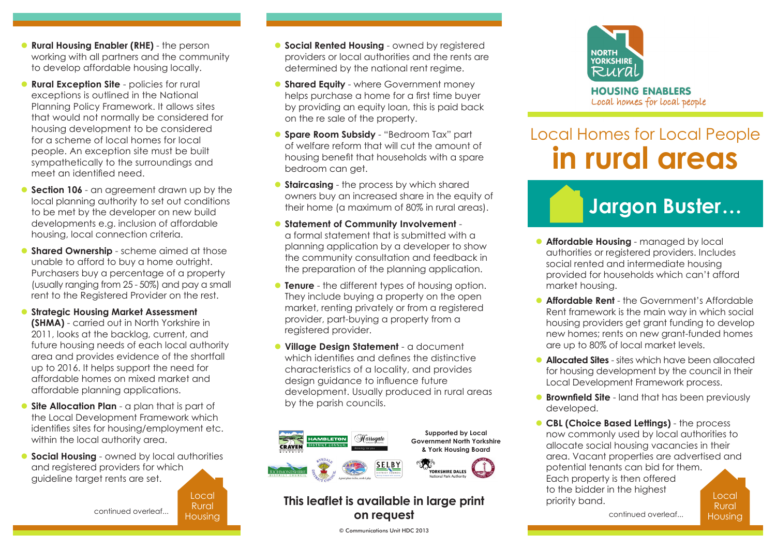- **Rural Housing Enabler (RHE)** the person working with all partners and the community to develop affordable housing locally.
- **Rural Exception Site** policies for rural exceptions is outlined in the National Planning Policy Framework. It allows sites that would not normally be considered for housing development to be considered for a scheme of local homes for local people. An exception site must be built sympathetically to the surroundings and meet an identified need.
- **Section 106** an agreement drawn up by the local planning authority to set out conditions to be met by the developer on new build developments e.g. inclusion of affordable housing, local connection criteria.
- **Shared Ownership** scheme aimed at those unable to afford to buy a home outright. Purchasers buy a percentage of a property (usually ranging from 25 - 50%) and pay a small rent to the Registered Provider on the rest.
- **Strategic Housing Market Assessment**

**(SHMA)** - carried out in North Yorkshire in 2011, looks at the backlog, current, and future housing needs of each local authority area and provides evidence of the shortfall up to 2016. It helps support the need for affordable homes on mixed market and affordable planning applications.

- **Site Allocation Plan** a plan that is part of the Local Development Framework which identifies sites for housing/employment etc. within the local authority area.
- **Social Housing** owned by local authorities and registered providers for which guideline target rents are set.

continued overleaf...

Local Rural Housing

- **C** Social Rented Housing owned by registered providers or local authorities and the rents are determined by the national rent regime.
- **C** Shared Equity where Government money helps purchase a home for a first time buyer by providing an equity loan, this is paid back on the re sale of the property.
- **Spare Room Subsidy** "Bedroom Tax" part of welfare reform that will cut the amount of housing benefit that households with a spare bedroom can get.
- **Staircasing** the process by which shared owners buy an increased share in the equity of their home (a maximum of 80% in rural areas).
- **C** Statement of Community Involvement a formal statement that is submitted with a planning application by a developer to show the community consultation and feedback in the preparation of the planning application.
- **Tenure** the different types of housing option. They include buying a property on the open market, renting privately or from a registered provider, part-buying a property from a registered provider.
- **In Village Design Statement** a document which identifies and defines the distinctive characteristics of a locality, and provides design guidance to influence future development. Usually produced in rural areas by the parish councils.



## **This leaflet is available in large print on request**

© Communications Unit HDC 2013



## Local Homes for Local People **in rural areas**

## **Jargon Buster...**

- **Affordable Housing** managed by local authorities or registered providers. Includes social rented and intermediate housing provided for households which can't afford market housing.
- **Affordable Rent** the Government's Affordable Rent framework is the main way in which social housing providers get grant funding to develop new homes; rents on new grant-funded homes are up to 80% of local market levels.
- **Allocated Sites** sites which have been allocated for housing development by the council in their Local Development Framework process.
- **Brownfield Site** land that has been previously developed.
- Local **CBL (Choice Based Lettings)** - the process now commonly used by local authorities to allocate social housing vacancies in their area. Vacant properties are advertised and potential tenants can bid for them. Each property is then offered to the bidder in the highest priority band.

continued overleaf...

Rural Housing